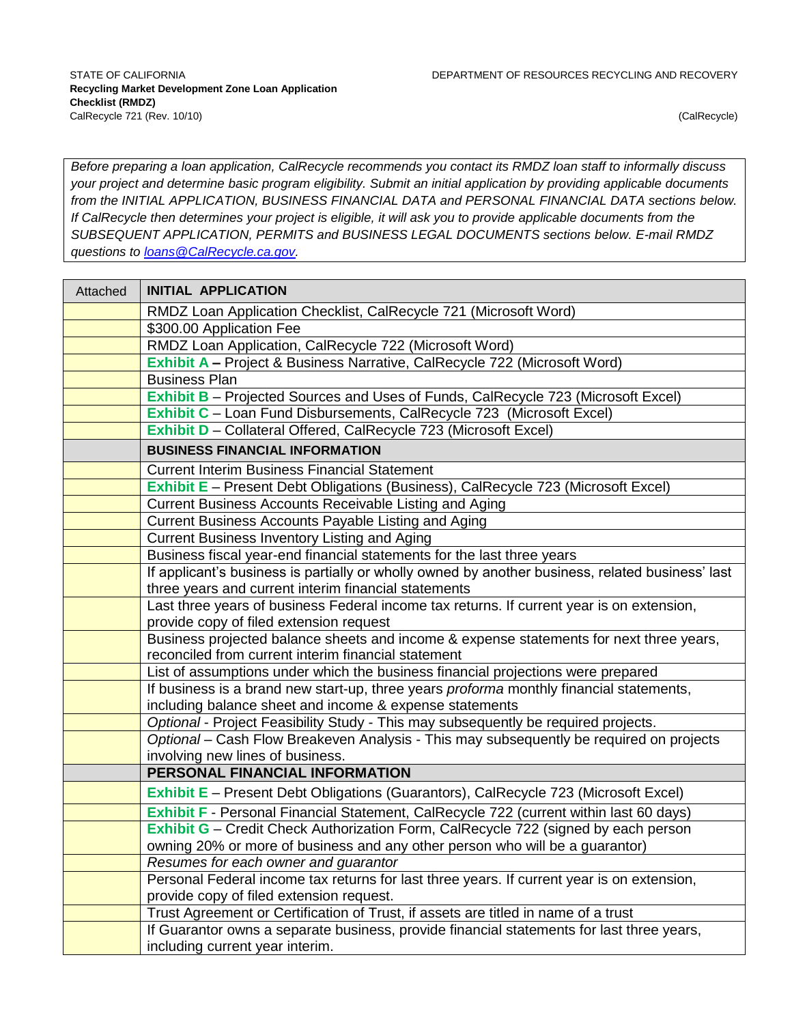*Before preparing a loan application, CalRecycle recommends you contact its RMDZ loan staff to informally discuss your project and determine basic program eligibility. Submit an initial application by providing applicable documents from the INITIAL APPLICATION, BUSINESS FINANCIAL DATA and PERSONAL FINANCIAL DATA sections below. If CalRecycle then determines your project is eligible, it will ask you to provide applicable documents from the SUBSEQUENT APPLICATION, PERMITS and BUSINESS LEGAL DOCUMENTS sections below. E-mail RMDZ questions to [loans@CalRecycle.ca.gov.](mailto:loans@CalRecycle.ca.gov)*

| Attached | <b>INITIAL APPLICATION</b>                                                                                                                    |  |  |
|----------|-----------------------------------------------------------------------------------------------------------------------------------------------|--|--|
|          | RMDZ Loan Application Checklist, CalRecycle 721 (Microsoft Word)                                                                              |  |  |
|          | \$300.00 Application Fee                                                                                                                      |  |  |
|          | RMDZ Loan Application, CalRecycle 722 (Microsoft Word)                                                                                        |  |  |
|          | Exhibit A - Project & Business Narrative, CalRecycle 722 (Microsoft Word)                                                                     |  |  |
|          | <b>Business Plan</b>                                                                                                                          |  |  |
|          | <b>Exhibit B</b> – Projected Sources and Uses of Funds, CalRecycle 723 (Microsoft Excel)                                                      |  |  |
|          | Exhibit C - Loan Fund Disbursements, CalRecycle 723 (Microsoft Excel)                                                                         |  |  |
|          | Exhibit D - Collateral Offered, CalRecycle 723 (Microsoft Excel)                                                                              |  |  |
|          | <b>BUSINESS FINANCIAL INFORMATION</b>                                                                                                         |  |  |
|          | <b>Current Interim Business Financial Statement</b>                                                                                           |  |  |
|          | Exhibit E - Present Debt Obligations (Business), CalRecycle 723 (Microsoft Excel)                                                             |  |  |
|          | Current Business Accounts Receivable Listing and Aging                                                                                        |  |  |
|          | Current Business Accounts Payable Listing and Aging                                                                                           |  |  |
|          | Current Business Inventory Listing and Aging                                                                                                  |  |  |
|          | Business fiscal year-end financial statements for the last three years                                                                        |  |  |
|          | If applicant's business is partially or wholly owned by another business, related business' last                                              |  |  |
|          | three years and current interim financial statements                                                                                          |  |  |
|          | Last three years of business Federal income tax returns. If current year is on extension,                                                     |  |  |
|          | provide copy of filed extension request                                                                                                       |  |  |
|          | Business projected balance sheets and income & expense statements for next three years,                                                       |  |  |
|          | reconciled from current interim financial statement                                                                                           |  |  |
|          | List of assumptions under which the business financial projections were prepared                                                              |  |  |
|          | If business is a brand new start-up, three years proforma monthly financial statements,                                                       |  |  |
|          | including balance sheet and income & expense statements<br>Optional - Project Feasibility Study - This may subsequently be required projects. |  |  |
|          | Optional - Cash Flow Breakeven Analysis - This may subsequently be required on projects                                                       |  |  |
|          | involving new lines of business.                                                                                                              |  |  |
|          | PERSONAL FINANCIAL INFORMATION                                                                                                                |  |  |
|          | Exhibit E - Present Debt Obligations (Guarantors), CalRecycle 723 (Microsoft Excel)                                                           |  |  |
|          | Exhibit F - Personal Financial Statement, CalRecycle 722 (current within last 60 days)                                                        |  |  |
|          | Exhibit G - Credit Check Authorization Form, CalRecycle 722 (signed by each person                                                            |  |  |
|          | owning 20% or more of business and any other person who will be a guarantor)                                                                  |  |  |
|          | Resumes for each owner and guarantor                                                                                                          |  |  |
|          | Personal Federal income tax returns for last three years. If current year is on extension,                                                    |  |  |
|          | provide copy of filed extension request.                                                                                                      |  |  |
|          | Trust Agreement or Certification of Trust, if assets are titled in name of a trust                                                            |  |  |
|          | If Guarantor owns a separate business, provide financial statements for last three years,                                                     |  |  |
|          | including current year interim.                                                                                                               |  |  |